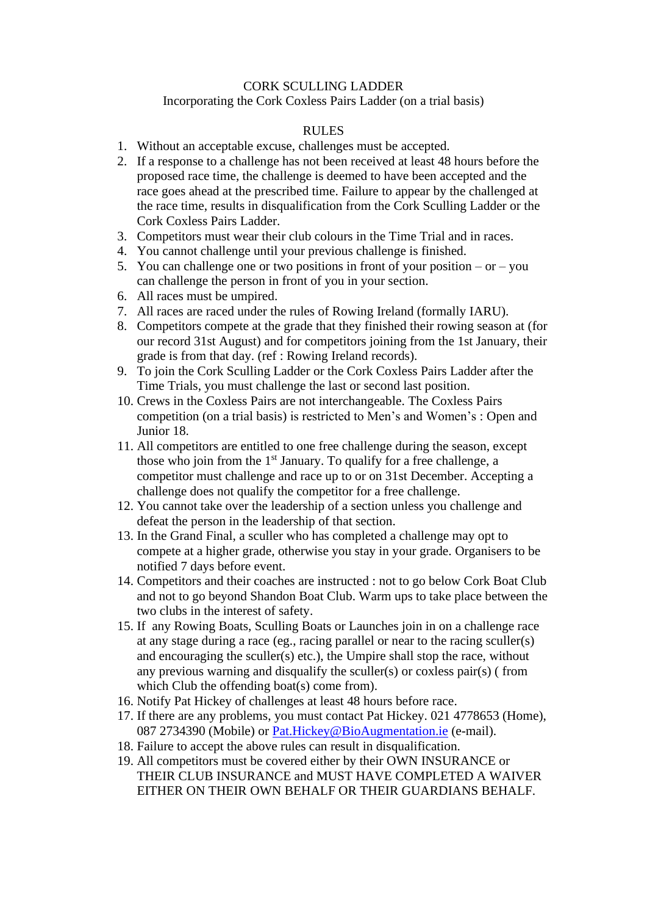## CORK SCULLING LADDER

## Incorporating the Cork Coxless Pairs Ladder (on a trial basis)

## RULES

- 1. Without an acceptable excuse, challenges must be accepted.
- 2. If a response to a challenge has not been received at least 48 hours before the proposed race time, the challenge is deemed to have been accepted and the race goes ahead at the prescribed time. Failure to appear by the challenged at the race time, results in disqualification from the Cork Sculling Ladder or the Cork Coxless Pairs Ladder.
- 3. Competitors must wear their club colours in the Time Trial and in races.
- 4. You cannot challenge until your previous challenge is finished.
- 5. You can challenge one or two positions in front of your position or you can challenge the person in front of you in your section.
- 6. All races must be umpired.
- 7. All races are raced under the rules of Rowing Ireland (formally IARU).
- 8. Competitors compete at the grade that they finished their rowing season at (for our record 31st August) and for competitors joining from the 1st January, their grade is from that day. (ref : Rowing Ireland records).
- 9. To join the Cork Sculling Ladder or the Cork Coxless Pairs Ladder after the Time Trials, you must challenge the last or second last position.
- 10. Crews in the Coxless Pairs are not interchangeable. The Coxless Pairs competition (on a trial basis) is restricted to Men's and Women's : Open and Junior 18.
- 11. All competitors are entitled to one free challenge during the season, except those who join from the  $1<sup>st</sup>$  January. To qualify for a free challenge, a competitor must challenge and race up to or on 31st December. Accepting a challenge does not qualify the competitor for a free challenge.
- 12. You cannot take over the leadership of a section unless you challenge and defeat the person in the leadership of that section.
- 13. In the Grand Final, a sculler who has completed a challenge may opt to compete at a higher grade, otherwise you stay in your grade. Organisers to be notified 7 days before event.
- 14. Competitors and their coaches are instructed : not to go below Cork Boat Club and not to go beyond Shandon Boat Club. Warm ups to take place between the two clubs in the interest of safety.
- 15. If any Rowing Boats, Sculling Boats or Launches join in on a challenge race at any stage during a race (eg., racing parallel or near to the racing sculler(s) and encouraging the sculler(s) etc.), the Umpire shall stop the race, without any previous warning and disqualify the sculler(s) or coxless pair(s) ( from which Club the offending boat(s) come from).
- 16. Notify Pat Hickey of challenges at least 48 hours before race.
- 17. If there are any problems, you must contact Pat Hickey. 021 4778653 (Home), 087 2734390 (Mobile) or [Pat.Hickey@BioAugmentation.ie](mailto:Pat.Hickey@BioAugmentation.ie) (e-mail).
- 18. Failure to accept the above rules can result in disqualification.
- 19. All competitors must be covered either by their OWN INSURANCE or THEIR CLUB INSURANCE and MUST HAVE COMPLETED A WAIVER EITHER ON THEIR OWN BEHALF OR THEIR GUARDIANS BEHALF.